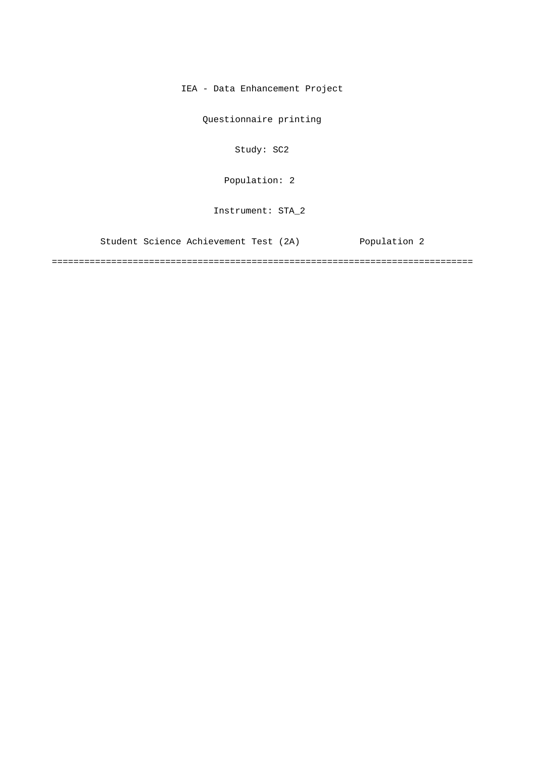IEA - Data Enhancement Project

Questionnaire printing

Study: SC2

[Population: 2](#page-1-0) 

Instrument: STA\_2

[Student Science Achievement Test \(2A\) Population 2](#page-1-0)

==============================================================================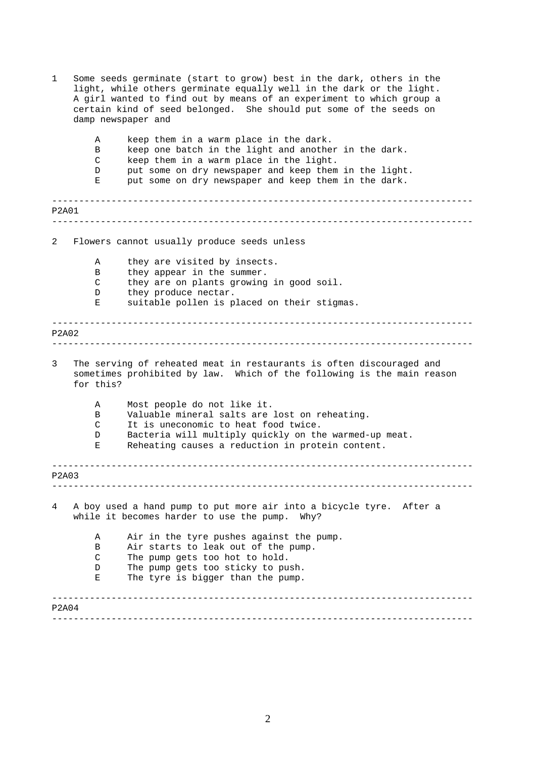<span id="page-1-0"></span>

| damp newspaper and                                                                                                                                                                                                                                                                  |  |
|-------------------------------------------------------------------------------------------------------------------------------------------------------------------------------------------------------------------------------------------------------------------------------------|--|
| keep them in a warm place in the dark.<br>Α<br>keep one batch in the light and another in the dark.<br>В<br>keep them in a warm place in the light.<br>C<br>put some on dry newspaper and keep them in the light.<br>D<br>put some on dry newspaper and keep them in the dark.<br>Е |  |
| P2A01                                                                                                                                                                                                                                                                               |  |
| $\overline{2}$<br>Flowers cannot usually produce seeds unless                                                                                                                                                                                                                       |  |
| they are visited by insects.<br>Α<br>B<br>they appear in the summer.<br>C<br>they are on plants growing in good soil.<br>they produce nectar.<br>D<br>suitable pollen is placed on their stigmas.<br>Е                                                                              |  |
| <b>P2A02</b>                                                                                                                                                                                                                                                                        |  |
| The serving of reheated meat in restaurants is often discouraged and<br>3<br>sometimes prohibited by law. Which of the following is the main reason<br>for this?                                                                                                                    |  |
| Most people do not like it.<br>Α<br>Valuable mineral salts are lost on reheating.<br>B<br>It is uneconomic to heat food twice.<br>C<br>Bacteria will multiply quickly on the warmed-up meat.<br>D<br>Reheating causes a reduction in protein content.<br>Е                          |  |
| P2A03                                                                                                                                                                                                                                                                               |  |
| A boy used a hand pump to put more air into a bicycle tyre. After a<br>4<br>while it becomes harder to use the pump. Why?                                                                                                                                                           |  |
| Air in the tyre pushes against the pump.<br>Α<br>Air starts to leak out of the pump.<br>B<br>$\mathsf{C}$<br>The pump gets too hot to hold.<br>The pump gets too sticky to push.<br>D<br>The tyre is bigger than the pump.<br>Е                                                     |  |
| P2A04                                                                                                                                                                                                                                                                               |  |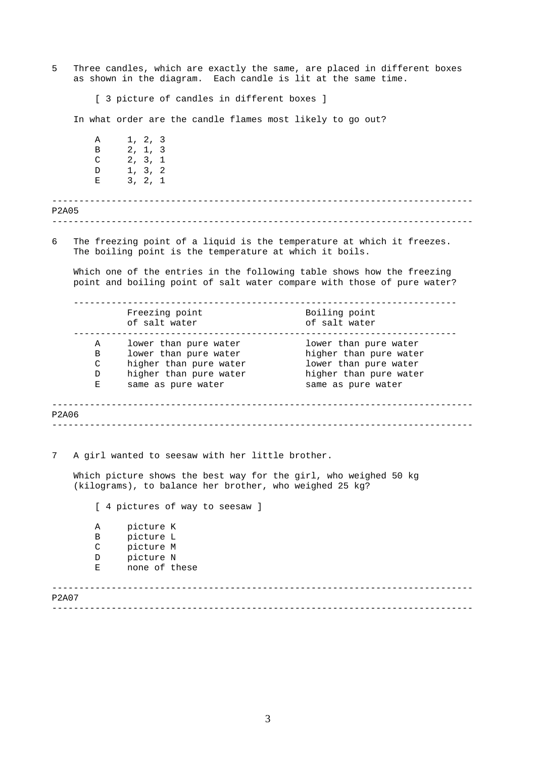------------------------------------------------------------------------------ ------------------------------------------------------------------------------ 5 Three candles, which are exactly the same, are placed in different boxes as shown in the diagram. Each candle is lit at the same time. [ 3 picture of candles in different boxes ] In what order are the candle flames most likely to go out? A 1, 2, 3 B 2, 1, 3  $C$  2, 3, 1 D 1, 3, 2 E 3, 2, 1 P2A05 6 The freezing point of a liquid is the temperature at which it freezes. The boiling point is the temperature at which it boils. Which one of the entries in the following table shows how the freezing point and boiling point of salt water compare with those of pure water? ----------------------------------------------------------------------- Freezing point and Boiling point of salt water of salt water ----------------------------------------------------------------------- A lower than pure water lower than pure water B lower than pure water higher than pure water C higher than pure water lower than pure water D higher than pure water higher than pure water D higher than pure water bigher than pure water<br>E same as pure water same as pure water

------------------------------------------------------------------------------ ------------------------------------------------------------------------------ P2A06

7 A girl wanted to seesaw with her little brother.

Which picture shows the best way for the girl, who weighed 50 kg (kilograms), to balance her brother, who weighed 25 kg?

------------------------------------------------------------------------------ [ 4 pictures of way to seesaw ] A picture K B picture L C picture M D picture N E none of these

P2A07

------------------------------------------------------------------------------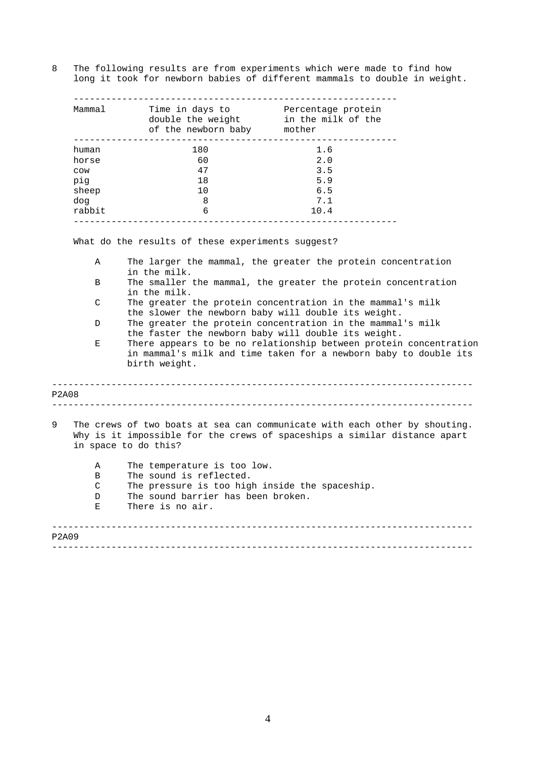8 The following results are from experiments which were made to find how long it took for newborn babies of different mammals to double in weight.

| Mammal | Time in days to<br>double the weight<br>of the newborn baby | Percentage protein<br>in the milk of the<br>mother |
|--------|-------------------------------------------------------------|----------------------------------------------------|
| human  | 180                                                         | 1.6                                                |
| horse  | 60                                                          | 2.0                                                |
| COW    | 47                                                          | 3.5                                                |
| pig    | 1 R                                                         | 5.9                                                |
| sheep  | 10                                                          | 6.5                                                |
| dog    | 8                                                           | 7.1                                                |
| rabbit | 6                                                           | 10.4                                               |
|        |                                                             |                                                    |

What do the results of these experiments suggest?

- A The larger the mammal, the greater the protein concentration in the milk.
- B The smaller the mammal, the greater the protein concentration in the milk.
- C The greater the protein concentration in the mammal's milk the slower the newborn baby will double its weight.
- D The greater the protein concentration in the mammal's milk the faster the newborn baby will double its weight.
- E There appears to be no relationship between protein concentration in mammal's milk and time taken for a newborn baby to double its birth weight.

## ------------------------------------------------------------------------------ ------------------------------------------------------------------------------ P2A08

9 The crews of two boats at sea can communicate with each other by shouting. Why is it impossible for the crews of spaceships a similar distance apart in space to do this?

| A     | The temperature is too low.                    |
|-------|------------------------------------------------|
| B     | The sound is reflected.                        |
| C     | The pressure is too high inside the spaceship. |
| D     | The sound barrier has been broken.             |
| Е     | There is no air.                               |
| P2A09 |                                                |

------------------------------------------------------------------------------